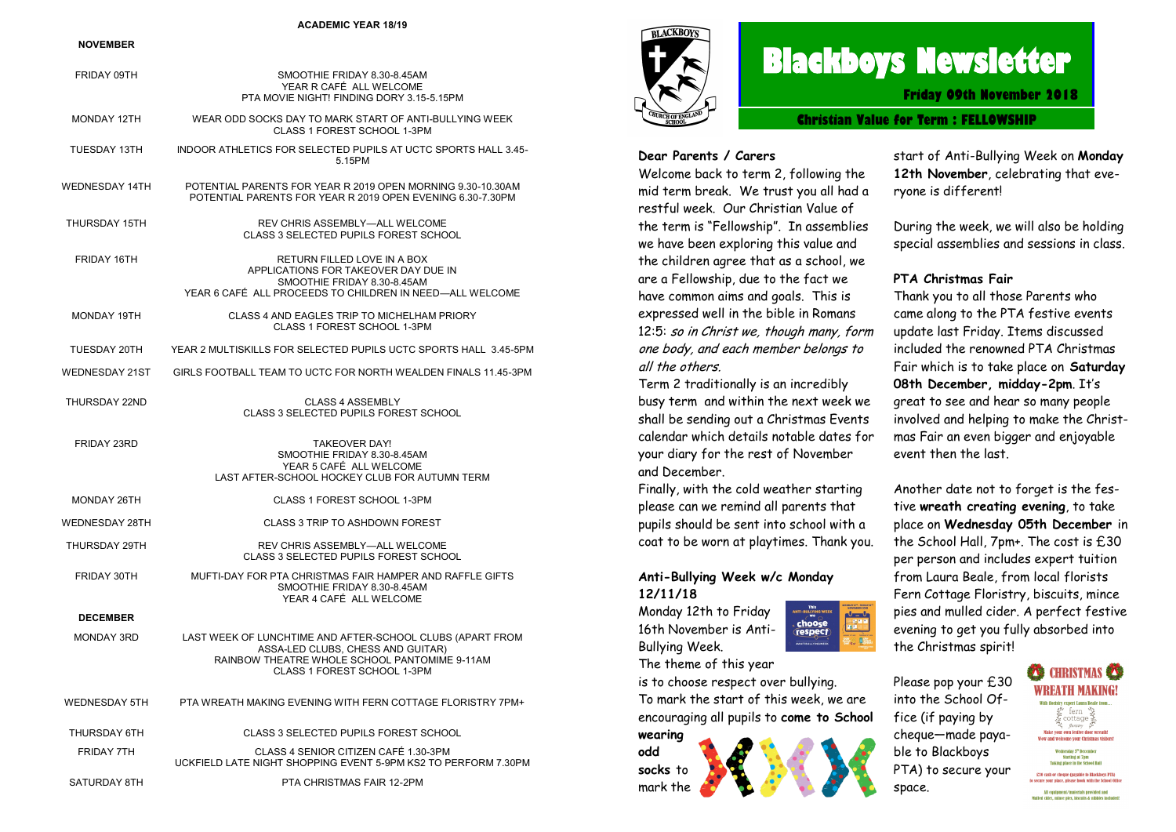### **ACADEMIC YEAR 18/19**

### **NOVEMBER**

| FRIDAY 09TH           | SMOOTHIE FRIDAY 8.30-8.45AM<br>YEAR R CAFÉ ALL WELCOME<br>PTA MOVIE NIGHT! FINDING DORY 3.15-5.15PM                                                                            |
|-----------------------|--------------------------------------------------------------------------------------------------------------------------------------------------------------------------------|
| MONDAY 12TH           | WEAR ODD SOCKS DAY TO MARK START OF ANTI-BULLYING WEEK<br>CLASS 1 FOREST SCHOOL 1-3PM                                                                                          |
| <b>TUESDAY 13TH</b>   | INDOOR ATHLETICS FOR SELECTED PUPILS AT UCTC SPORTS HALL 3.45-<br>5.15PM                                                                                                       |
| WEDNESDAY 14TH        | POTENTIAL PARENTS FOR YEAR R 2019 OPEN MORNING 9.30-10.30AM<br>POTENTIAL PARENTS FOR YEAR R 2019 OPEN EVENING 6.30-7.30PM                                                      |
| THURSDAY 15TH         | REV CHRIS ASSEMBLY-ALL WELCOME<br><b>CLASS 3 SELECTED PUPILS FOREST SCHOOL</b>                                                                                                 |
| FRIDAY 16TH           | RETURN FILLED LOVE IN A BOX<br>APPLICATIONS FOR TAKEOVER DAY DUE IN<br>SMOOTHIE FRIDAY 8.30-8.45AM<br>YEAR 6 CAFÉ ALL PROCEEDS TO CHILDREN IN NEED-ALL WELCOME                 |
| <b>MONDAY 19TH</b>    | CLASS 4 AND EAGLES TRIP TO MICHELHAM PRIORY<br>CLASS 1 FOREST SCHOOL 1-3PM                                                                                                     |
| TUESDAY 20TH          | YEAR 2 MULTISKILLS FOR SELECTED PUPILS UCTC SPORTS HALL 3.45-5PM                                                                                                               |
| <b>WEDNESDAY 21ST</b> | GIRLS FOOTBALL TEAM TO UCTC FOR NORTH WEALDEN FINALS 11.45-3PM                                                                                                                 |
| THURSDAY 22ND         | <b>CLASS 4 ASSEMBLY</b><br>CLASS 3 SELECTED PUPILS FOREST SCHOOL                                                                                                               |
| FRIDAY 23RD           | <b>TAKEOVER DAY!</b><br>SMOOTHIE FRIDAY 8.30-8.45AM<br>YEAR 5 CAFÉ ALL WELCOME<br>LAST AFTER-SCHOOL HOCKEY CLUB FOR AUTUMN TERM                                                |
| <b>MONDAY 26TH</b>    | CLASS 1 FOREST SCHOOL 1-3PM                                                                                                                                                    |
| <b>WEDNESDAY 28TH</b> | CLASS 3 TRIP TO ASHDOWN FOREST                                                                                                                                                 |
| THURSDAY 29TH         | REV CHRIS ASSEMBLY-ALL WELCOME<br><b>CLASS 3 SELECTED PUPILS FOREST SCHOOL</b>                                                                                                 |
| FRIDAY 30TH           | MUFTI-DAY FOR PTA CHRISTMAS FAIR HAMPER AND RAFFLE GIFTS<br>SMOOTHIE FRIDAY 8.30-8.45AM<br>YEAR 4 CAFÉ ALL WELCOME                                                             |
| <b>DECEMBER</b>       |                                                                                                                                                                                |
| MONDAY 3RD            | LAST WEEK OF LUNCHTIME AND AFTER-SCHOOL CLUBS (APART FROM<br>ASSA-LED CLUBS, CHESS AND GUITAR)<br>RAINBOW THEATRE WHOLE SCHOOL PANTOMIME 9-11AM<br>CLASS 1 FOREST SCHOOL 1-3PM |
| <b>WEDNESDAY 5TH</b>  | PTA WREATH MAKING EVENING WITH FERN COTTAGE FLORISTRY 7PM+                                                                                                                     |
| THURSDAY 6TH          | CLASS 3 SELECTED PUPILS FOREST SCHOOL                                                                                                                                          |
| <b>FRIDAY 7TH</b>     | CLASS 4 SENIOR CITIZEN CAFÉ 1.30-3PM<br>UCKFIELD LATE NIGHT SHOPPING EVENT 5-9PM KS2 TO PERFORM 7.30PM                                                                         |
| SATURDAY 8TH          | PTA CHRISTMAS FAIR 12-2PM                                                                                                                                                      |



# **Blackboys Newsletter**

**Friday 09th November 2018**

**Christian Value for Term : FELLOWSHIP**

### **Dear Parents / Carers**

Welcome back to term 2, following the mid term break. We trust you all had a restful week. Our Christian Value of the term is "Fellowship". In assemblies we have been exploring this value and the children agree that as a school, we are a Fellowship, due to the fact we have common aims and goals. This is expressed well in the bible in Romans 12:5: so in Christ we, though many, form one body, and each member belongs to all the others.

Term 2 traditionally is an incredibly busy term and within the next week we shall be sending out a Christmas Events calendar which details notable dates for your diary for the rest of November and December.

Finally, with the cold weather starting please can we remind all parents that pupils should be sent into school with a coat to be worn at playtimes. Thank you.

### **Anti-Bullying Week w/c Monday 12/11/18**

Monday 12th to Friday 16th November is Anti-Bullying Week. The theme of this year



is to choose respect over bullying. To mark the start of this week, we are encouraging all pupils to **come to School** 



start of Anti-Bullying Week on **Monday 12th November**, celebrating that everyone is different!

During the week, we will also be holding special assemblies and sessions in class.

### **PTA Christmas Fair**

Thank you to all those Parents who came along to the PTA festive events update last Friday. Items discussed included the renowned PTA Christmas Fair which is to take place on **Saturday 08th December, midday-2pm**. It's great to see and hear so many people involved and helping to make the Christmas Fair an even bigger and enjoyable event then the last.

Another date not to forget is the festive **wreath creating evening**, to take place on **Wednesday 05th December** in the School Hall, 7pm+. The cost is £30 per person and includes expert tuition from Laura Beale, from local florists Fern Cottage Floristry, biscuits, mince pies and mulled cider. A perfect festive evening to get you fully absorbed into the Christmas spirit!

Please pop your £30 into the School Office (if paying by cheque—made payable to Blackboys PTA) to secure your space.